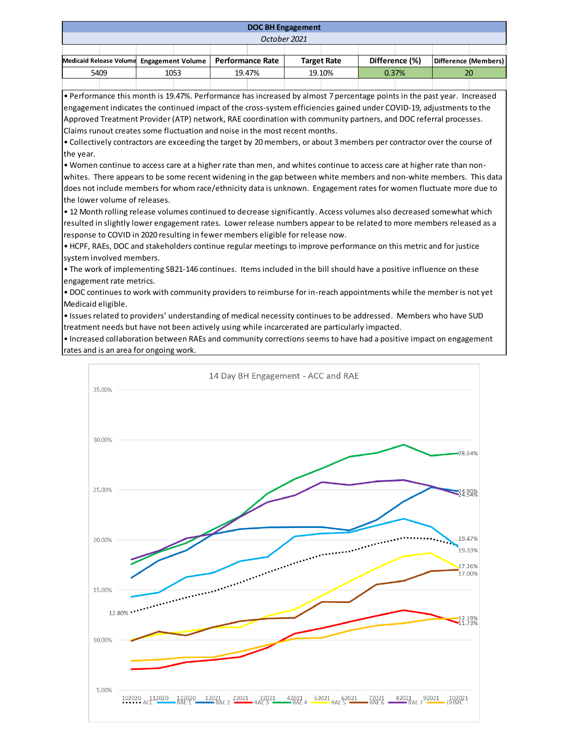| <b>DOC BH Engagement</b>                                     |  |      |  |        |  |                    |  |                |  |                      |  |
|--------------------------------------------------------------|--|------|--|--------|--|--------------------|--|----------------|--|----------------------|--|
| October 2021                                                 |  |      |  |        |  |                    |  |                |  |                      |  |
|                                                              |  |      |  |        |  |                    |  |                |  |                      |  |
| Medicaid Release Volume Engagement Volume   Performance Rate |  |      |  |        |  | <b>Target Rate</b> |  | Difference (%) |  | Difference (Members) |  |
| 5409                                                         |  | 1053 |  | 19.47% |  | 19.10%             |  | 0.37%          |  | 20                   |  |
|                                                              |  |      |  |        |  |                    |  |                |  |                      |  |

• Performance this month is 19.47%. Performance has increased by almost 7 percentage points in the past year. Increased engagement indicates the continued impact of the cross-system efficiencies gained under COVID-19, adjustments to the Approved Treatment Provider (ATP) network, RAE coordination with community partners, and DOC referral processes. Claims runout creates some fluctuation and noise in the most recent months.

• Collectively contractors are exceeding the target by 20 members, or about 3 members per contractor over the course of the year.

• Women continue to access care at a higher rate than men, and whites continue to access care at higher rate than nonwhites. There appears to be some recent widening in the gap between white members and non-white members. This data does not include members for whom race/ethnicity data is unknown. Engagement rates for women fluctuate more due to the lower volume of releases.

• 12 Month rolling release volumes continued to decrease significantly. Access volumes also decreased somewhat which resulted in slightly lower engagement rates. Lower release numbers appear to be related to more members released as a response to COVID in 2020 resulting in fewer members eligible for release now.

• HCPF, RAEs, DOC and stakeholders continue regular meetings to improve performance on this metric and for justice system involved members.

• The work of implementing SB21-146 continues. Items included in the bill should have a positive influence on these engagement rate metrics.

• DOC continues to work with community providers to reimburse for in-reach appointments while the member is not yet Medicaid eligible.

• Issues related to providers' understanding of medical necessity continues to be addressed. Members who have SUD treatment needs but have not been actively using while incarcerated are particularly impacted.

• Increased collaboration between RAEs and community corrections seems to have had a positive impact on engagement rates and is an area for ongoing work.

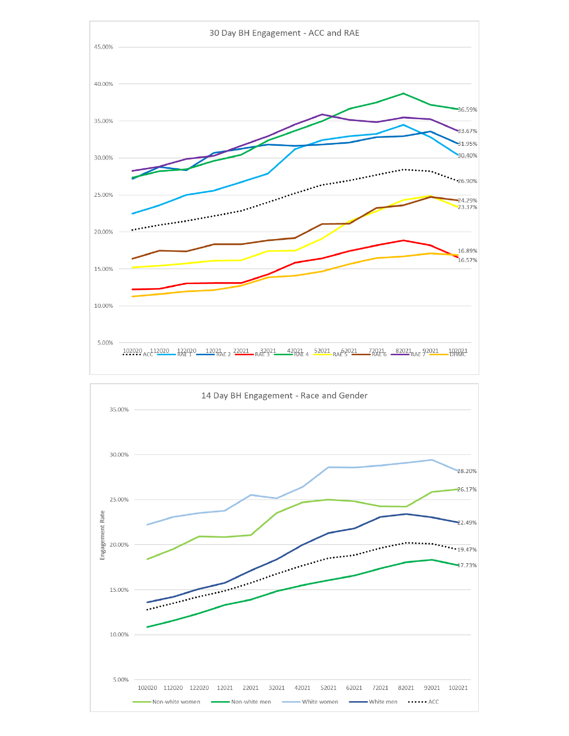